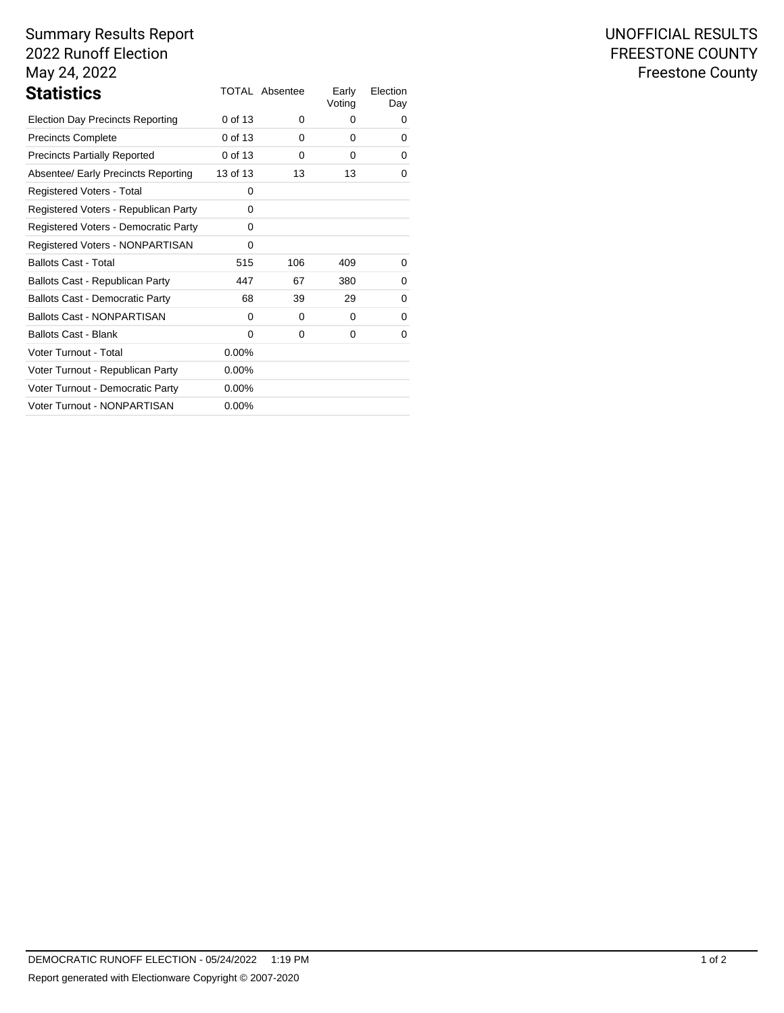# Summary Results Report 2022 Runoff Election May 24, 2022

| <b>Statistics</b>                       |          | TOTAL Absentee | Early<br>Voting | Election<br>Day |
|-----------------------------------------|----------|----------------|-----------------|-----------------|
| <b>Election Day Precincts Reporting</b> | 0 of 13  | 0              | 0               | 0               |
| <b>Precincts Complete</b>               | 0 of 13  | 0              | 0               | 0               |
| <b>Precincts Partially Reported</b>     | 0 of 13  | 0              | 0               | 0               |
| Absentee/ Early Precincts Reporting     | 13 of 13 | 13             | 13              | 0               |
| Registered Voters - Total               | 0        |                |                 |                 |
| Registered Voters - Republican Party    | 0        |                |                 |                 |
| Registered Voters - Democratic Party    | 0        |                |                 |                 |
| Registered Voters - NONPARTISAN         | 0        |                |                 |                 |
| <b>Ballots Cast - Total</b>             | 515      | 106            | 409             | 0               |
| Ballots Cast - Republican Party         | 447      | 67             | 380             | 0               |
| Ballots Cast - Democratic Party         | 68       | 39             | 29              | 0               |
| <b>Ballots Cast - NONPARTISAN</b>       | 0        | 0              | 0               | 0               |
| <b>Ballots Cast - Blank</b>             | 0        | 0              | 0               | 0               |
| Voter Turnout - Total                   | $0.00\%$ |                |                 |                 |
| Voter Turnout - Republican Party        | $0.00\%$ |                |                 |                 |
| Voter Turnout - Democratic Party        | $0.00\%$ |                |                 |                 |
| Voter Turnout - NONPARTISAN             | $0.00\%$ |                |                 |                 |